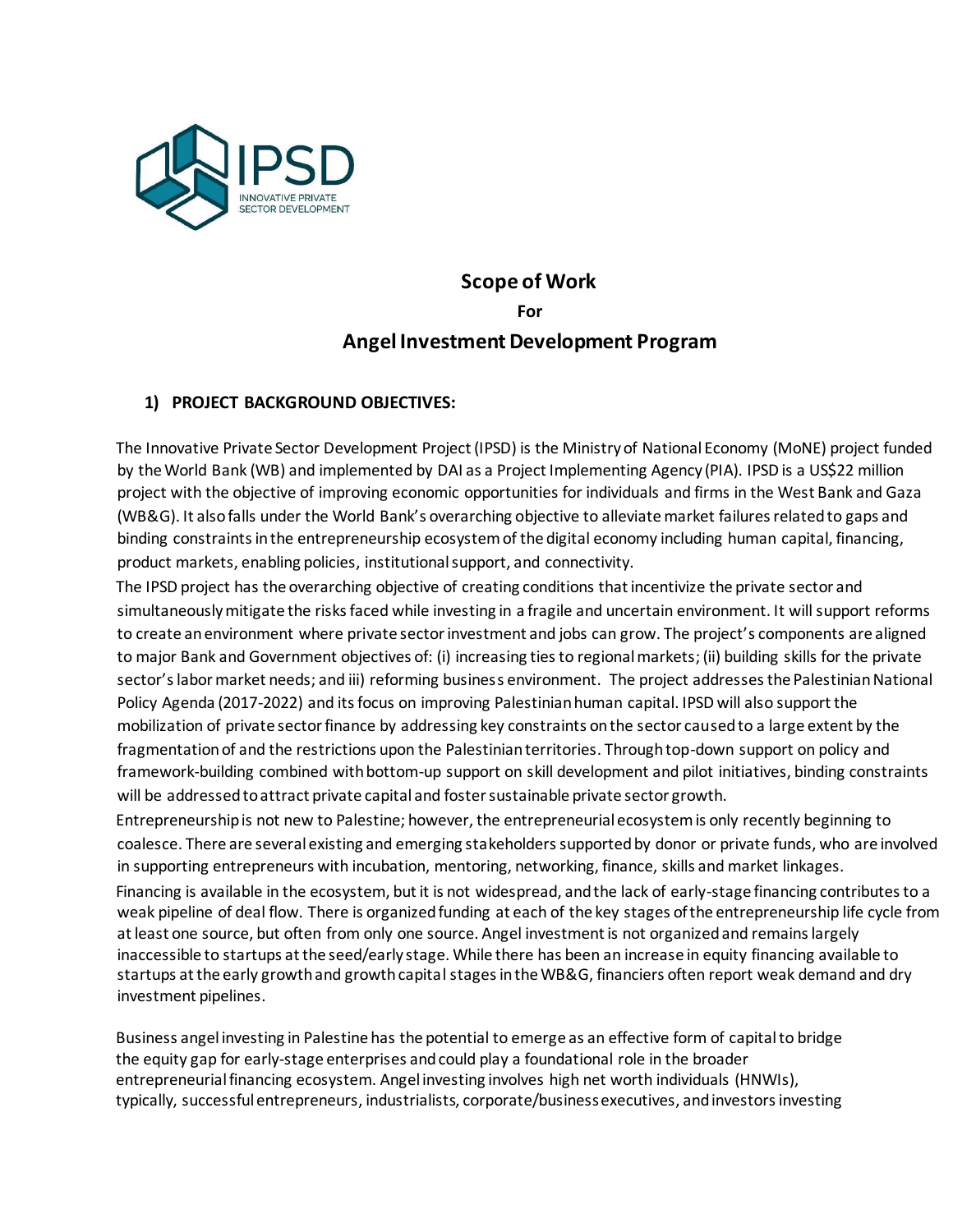

# **Scope of Work For Angel Investment Development Program**

# **1) PROJECT BACKGROUND OBJECTIVES:**

The Innovative Private Sector Development Project (IPSD) is the Ministry of National Economy (MoNE) project funded by the World Bank (WB) and implemented by DAI as a Project Implementing Agency (PIA). IPSD is a US\$22 million project with the objective of improving economic opportunities for individuals and firms in the West Bank and Gaza (WB&G). It also falls under the World Bank's overarching objective to alleviate market failures related to gaps and binding constraints in the entrepreneurship ecosystem of the digital economy including human capital, financing, product markets, enabling policies, institutional support, and connectivity.

The IPSD project has the overarching objective of creating conditions that incentivize the private sector and simultaneously mitigate the risks faced while investing in a fragile and uncertain environment. It will support reforms to create an environment where private sector investment and jobs can grow. The project's components are aligned to major Bank and Government objectives of: (i) increasing ties to regional markets; (ii) building skills for the private sector's labor market needs; and iii) reforming business environment. The project addresses the Palestinian National Policy Agenda (2017-2022) and its focus on improving Palestinian human capital. IPSD will also support the mobilization of private sector finance by addressing key constraints on the sector caused to a large extent by the fragmentation of and the restrictions upon the Palestinian territories. Through top-down support on policy and framework-building combined with bottom-up support on skill development and pilot initiatives, binding constraints will be addressed to attract private capital and foster sustainable private sector growth.

Entrepreneurship is not new to Palestine; however, the entrepreneurial ecosystem is only recently beginning to coalesce. There are several existing and emerging stakeholders supported by donor or private funds, who are involved in supporting entrepreneurs with incubation, mentoring, networking, finance, skills and market linkages.

Financing is available in the ecosystem, but it is not widespread, and the lack of early-stage financing contributes to a weak pipeline of deal flow. There is organized funding at each of the key stages of the entrepreneurship life cycle from at least one source, but often from only one source. Angel investment is not organized and remains largely inaccessible to startups at the seed/early stage. While there has been an increase in equity financing available to startups at the early growth and growth capital stages in the WB&G, financiers often report weak demand and dry investment pipelines.

Business angel investing in Palestine has the potential to emerge as an effective form of capital to bridge the equity gap for early-stage enterprises and could play a foundational role in the broader entrepreneurial financing ecosystem. Angel investing involves high net worth individuals (HNWIs), typically, successful entrepreneurs, industrialists, corporate/business executives, and investors investing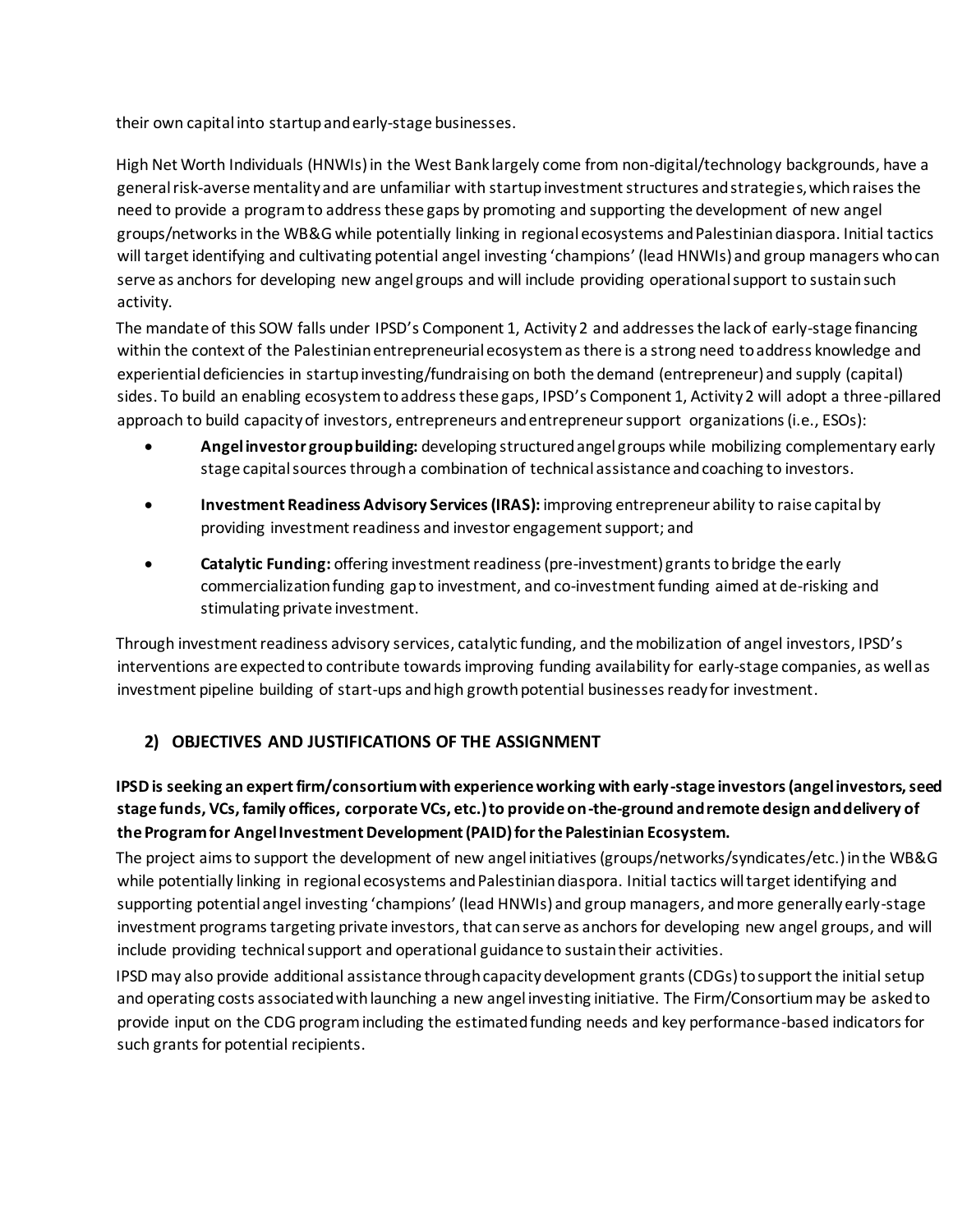their own capital into startup and early-stage businesses.

High Net Worth Individuals (HNWIs) in the West Bank largely come from non-digital/technology backgrounds, have a general risk-averse mentality and are unfamiliar with startup investment structures and strategies, which raises the need to provide a program to address these gaps by promoting and supporting the development of new angel groups/networks in the WB&G while potentially linking in regional ecosystems and Palestinian diaspora. Initial tactics will target identifying and cultivating potential angel investing 'champions' (lead HNWIs) and group managers who can serve as anchors for developing new angel groups and will include providing operational support to sustain such activity.

The mandate of this SOW falls under IPSD's Component 1, Activity 2 and addresses the lack of early-stage financing within the context of the Palestinian entrepreneurial ecosystem as there is a strong need to address knowledge and experiential deficiencies in startup investing/fundraising on both the demand (entrepreneur) and supply (capital) sides. To build an enabling ecosystem to address these gaps, IPSD's Component 1, Activity 2 will adopt a three-pillared approach to build capacity of investors, entrepreneurs and entrepreneur support organizations (i.e., ESOs):

- **Angel investor group building:** developing structured angel groups while mobilizing complementary early stage capital sources through a combination of technical assistance and coaching to investors.
- **Investment Readiness Advisory Services (IRAS):** improving entrepreneur ability to raise capital by providing investment readiness and investor engagement support; and
- **Catalytic Funding:** offering investment readiness (pre-investment) grants to bridge the early commercialization funding gap to investment, and co-investment funding aimed at de-risking and stimulating private investment.

Through investment readiness advisory services, catalytic funding, and the mobilization of angel investors, IPSD's interventions are expected to contribute towards improving funding availability for early-stage companies, as well as investment pipeline building of start-ups and high growth potential businesses ready for investment.

# **2) OBJECTIVES AND JUSTIFICATIONS OF THE ASSIGNMENT**

# **IPSD is seeking an expert firm/consortium with experience working with early-stage investors (angel investors, seed stage funds, VCs, family offices, corporate VCs, etc.) to provide on-the-ground and remote design and delivery of the Program for Angel Investment Development (PAID) for the Palestinian Ecosystem.**

The project aims to support the development of new angel initiatives (groups/networks/syndicates/etc.) in the WB&G while potentially linking in regional ecosystems and Palestinian diaspora. Initial tactics will target identifying and supporting potential angel investing 'champions' (lead HNWIs) and group managers, and more generally early-stage investment programs targeting private investors, that can serve as anchors for developing new angel groups, and will include providing technical support and operational guidance to sustain their activities.

IPSD may also provide additional assistance through capacity development grants (CDGs) to support the initial setup and operating costs associated with launching a new angel investing initiative. The Firm/Consortium may be asked to provide input on the CDG program including the estimated funding needs and key performance-based indicators for such grants for potential recipients.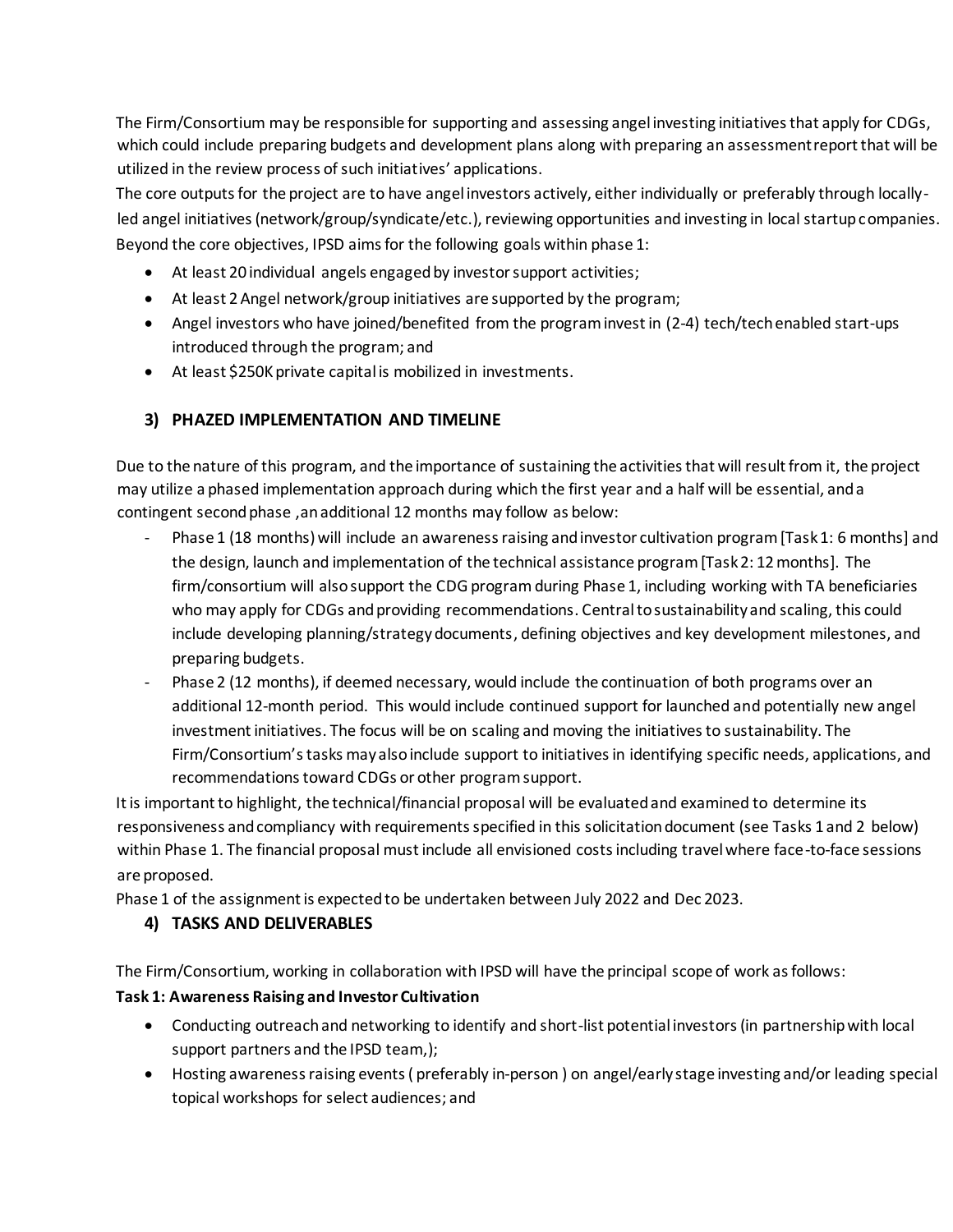The Firm/Consortium may be responsible for supporting and assessing angel investing initiatives that apply for CDGs, which could include preparing budgets and development plans along with preparing an assessment report that will be utilized in the review process of such initiatives' applications.

The core outputs for the project are to have angel investors actively, either individually or preferably through locallyled angel initiatives (network/group/syndicate/etc.), reviewing opportunities and investing in local startup companies. Beyond the core objectives, IPSD aims for the following goals within phase 1:

- At least 20 individual angels engaged by investor support activities;
- At least 2 Angel network/group initiatives are supported by the program;
- Angel investors who have joined/benefited from the program invest in (2-4) tech/tech enabled start-ups introduced through the program; and
- At least \$250K private capital is mobilized in investments.

# **3) PHAZED IMPLEMENTATION AND TIMELINE**

Due to the nature of this program, and the importance of sustaining the activities that will result from it, the project may utilize a phased implementation approach during which the first year and a half will be essential, and a contingent second phase ,an additional 12 months may follow as below:

- Phase 1 (18 months) will include an awareness raising and investor cultivation program [Task 1: 6 months] and the design, launch and implementation of the technical assistance program [Task 2: 12 months]. The firm/consortium will also support the CDG programduring Phase 1, including working with TA beneficiaries who may apply for CDGs and providing recommendations. Central to sustainability and scaling, this could include developing planning/strategy documents, defining objectives and key development milestones, and preparing budgets.
- Phase 2 (12 months), if deemed necessary, would include the continuation of both programs over an additional 12-month period. This would include continued support for launched and potentially new angel investment initiatives. The focus will be on scaling and moving the initiatives to sustainability. The Firm/Consortium's tasks may also include support to initiatives in identifying specific needs, applications, and recommendations toward CDGs or other program support.

It is important to highlight, the technical/financial proposal will be evaluated and examined to determine its responsiveness and compliancy with requirements specified in this solicitation document (see Tasks 1 and 2 below) within Phase 1. The financial proposal must include all envisioned costs including travel where face-to-face sessions are proposed.

Phase 1 of the assignment is expected to be undertaken between July 2022 and Dec 2023.

# **4) TASKS AND DELIVERABLES**

The Firm/Consortium, working in collaboration with IPSD will have the principal scope of work as follows:

# **Task 1: Awareness Raising and Investor Cultivation**

- Conducting outreach and networking to identify and short-list potential investors (in partnership with local support partners and the IPSD team,);
- Hosting awareness raising events ( preferably in-person ) on angel/early stage investing and/or leading special topical workshops for select audiences; and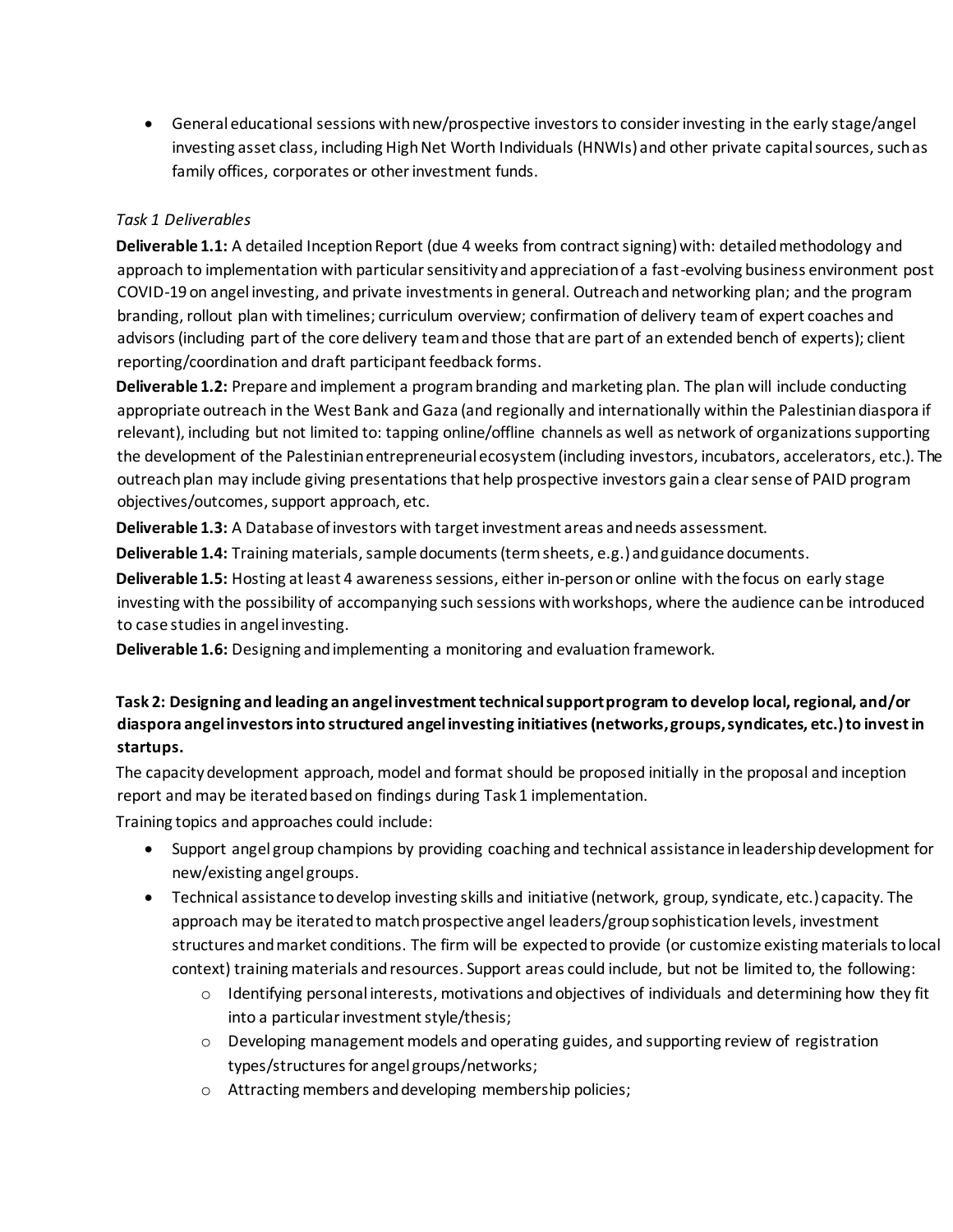• General educational sessions with new/prospective investors to consider investing in the early stage/angel investing asset class, including High Net Worth Individuals (HNWIs) and other private capital sources, such as family offices, corporates or other investment funds.

#### *Task 1 Deliverables*

**Deliverable 1.1:** A detailed Inception Report (due 4 weeks from contract signing) with: detailed methodology and approach to implementation with particular sensitivity and appreciation of a fast-evolving business environment post COVID-19 on angel investing, and private investments in general. Outreach and networking plan; and the program branding, rollout plan with timelines; curriculum overview; confirmation of delivery team of expert coaches and advisors (including part of the core delivery team and those that are part of an extended bench of experts); client reporting/coordination and draft participant feedback forms.

**Deliverable 1.2:** Prepare and implement a program branding and marketing plan. The plan will include conducting appropriate outreach in the West Bank and Gaza (and regionally and internationally within the Palestinian diaspora if relevant), including but not limited to: tapping online/offline channels as well as network of organizations supporting the development of the Palestinian entrepreneurial ecosystem (including investors, incubators, accelerators, etc.). The outreach plan may include giving presentations that help prospective investors gain a clear sense of PAID program objectives/outcomes, support approach, etc.

**Deliverable 1.3:** A Database of investors with target investment areas and needs assessment.

**Deliverable 1.4:** Training materials, sample documents (term sheets, e.g.) and guidance documents.

**Deliverable 1.5:** Hosting at least 4 awareness sessions, either in-personor online with the focus on early stage investing with the possibility of accompanying such sessions with workshops, where the audience can be introduced to case studies in angel investing.

**Deliverable 1.6:** Designing and implementing a monitoring and evaluation framework.

# **Task 2: Designing and leading an angel investment technical support program to develop local, regional, and/or diaspora angel investors into structured angel investing initiatives (networks, groups, syndicates, etc.) to invest in startups.**

The capacity development approach, model and format should be proposed initially in the proposal and inception report and may be iterated based on findings during Task 1 implementation.

Training topics and approaches could include:

- Support angel group champions by providing coaching and technical assistance in leadership development for new/existing angel groups.
- Technical assistance to develop investing skills and initiative (network, group, syndicate, etc.) capacity. The approach may be iterated to match prospective angel leaders/group sophistication levels, investment structures and market conditions. The firm will be expected to provide (or customize existing materials to local context) training materials and resources. Support areas could include, but not be limited to, the following:
	- o Identifying personal interests, motivations and objectives of individuals and determining how they fit into a particular investment style/thesis;
	- $\circ$  Developing management models and operating guides, and supporting review of registration types/structures for angel groups/networks;
	- o Attracting members and developing membership policies;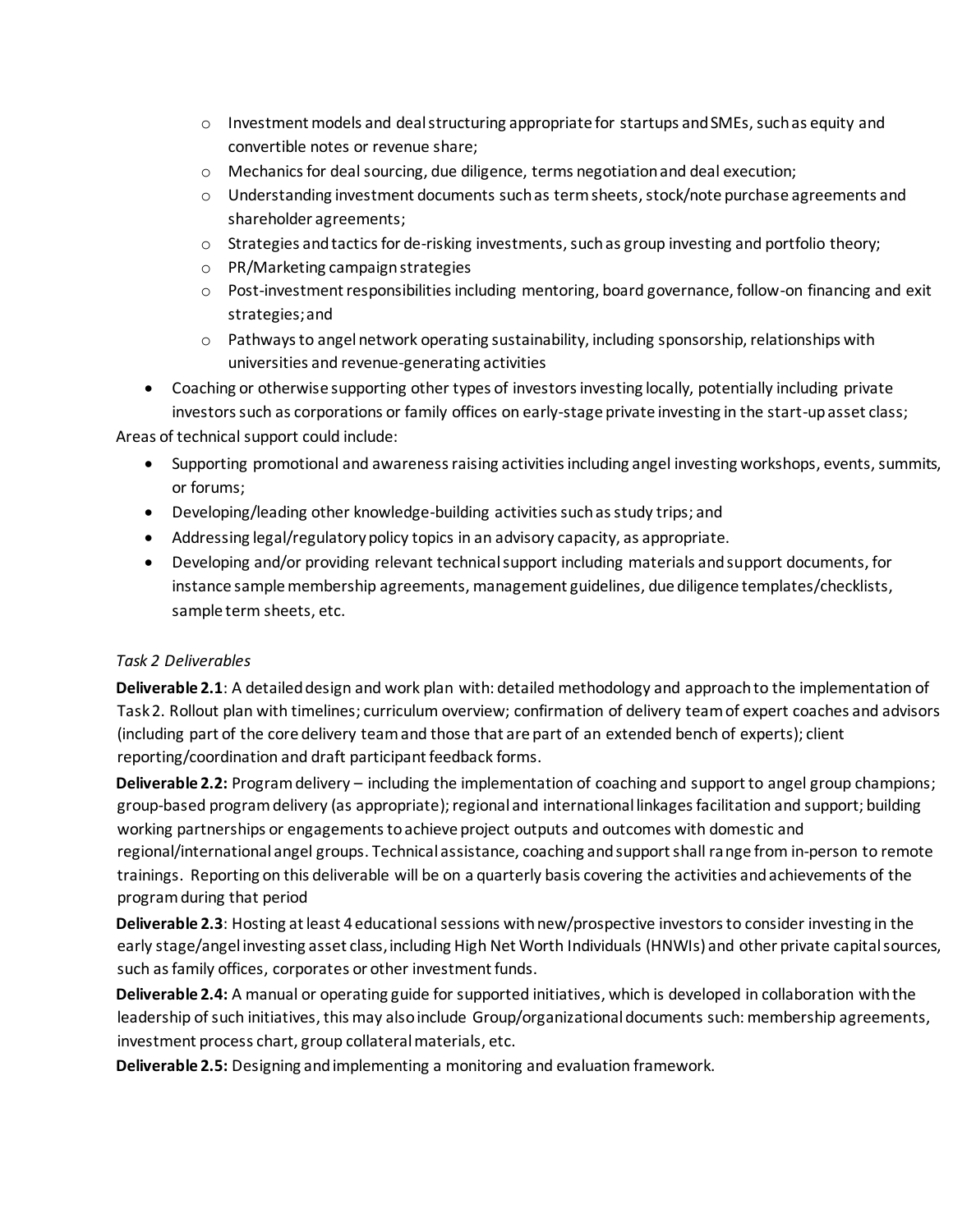- $\circ$  Investment models and deal structuring appropriate for startups and SMEs, such as equity and convertible notes or revenue share;
- o Mechanics for deal sourcing, due diligence, terms negotiation and deal execution;
- o Understanding investment documents such as term sheets, stock/note purchase agreements and shareholder agreements;
- o Strategies and tactics for de-risking investments, such as group investing and portfolio theory;
- o PR/Marketing campaign strategies
- o Post-investment responsibilities including mentoring, board governance, follow-on financing and exit strategies; and
- $\circ$  Pathways to angel network operating sustainability, including sponsorship, relationships with universities and revenue-generating activities
- Coaching or otherwise supporting other types of investors investing locally, potentially including private investors such as corporations or family offices on early-stage private investing in the start-up asset class;

Areas of technical support could include:

- Supporting promotional and awareness raising activities including angel investing workshops, events, summits, or forums;
- Developing/leading other knowledge-building activities such as study trips; and
- Addressing legal/regulatory policy topics in an advisory capacity, as appropriate.
- Developing and/or providing relevant technical support including materials and support documents, for instance sample membership agreements, management guidelines, due diligence templates/checklists, sample term sheets, etc.

#### *Task 2 Deliverables*

**Deliverable 2.1**: A detailed design and work plan with: detailed methodology and approach to the implementation of Task 2. Rollout plan with timelines; curriculum overview; confirmation of delivery team of expert coaches and advisors (including part of the core delivery team and those that are part of an extended bench of experts); client reporting/coordination and draft participant feedback forms.

**Deliverable 2.2:** Program delivery – including the implementation of coaching and support to angel group champions; group-based program delivery (as appropriate); regional and international linkages facilitation and support; building working partnerships or engagements to achieve project outputs and outcomes with domestic and regional/international angel groups. Technical assistance, coaching and support shall range from in-person to remote trainings. Reporting on this deliverable will be on a quarterly basis covering the activities and achievements of the program during that period

**Deliverable 2.3**: Hosting at least 4 educational sessions with new/prospective investors to consider investing in the early stage/angel investing asset class, including High Net Worth Individuals (HNWIs) and other private capital sources, such as family offices, corporates or other investment funds.

**Deliverable 2.4:** A manual or operating guide for supported initiatives, which is developed in collaboration with the leadership of such initiatives, this may also include Group/organizational documents such: membership agreements, investment process chart, group collateral materials, etc.

**Deliverable 2.5:** Designing and implementing a monitoring and evaluation framework.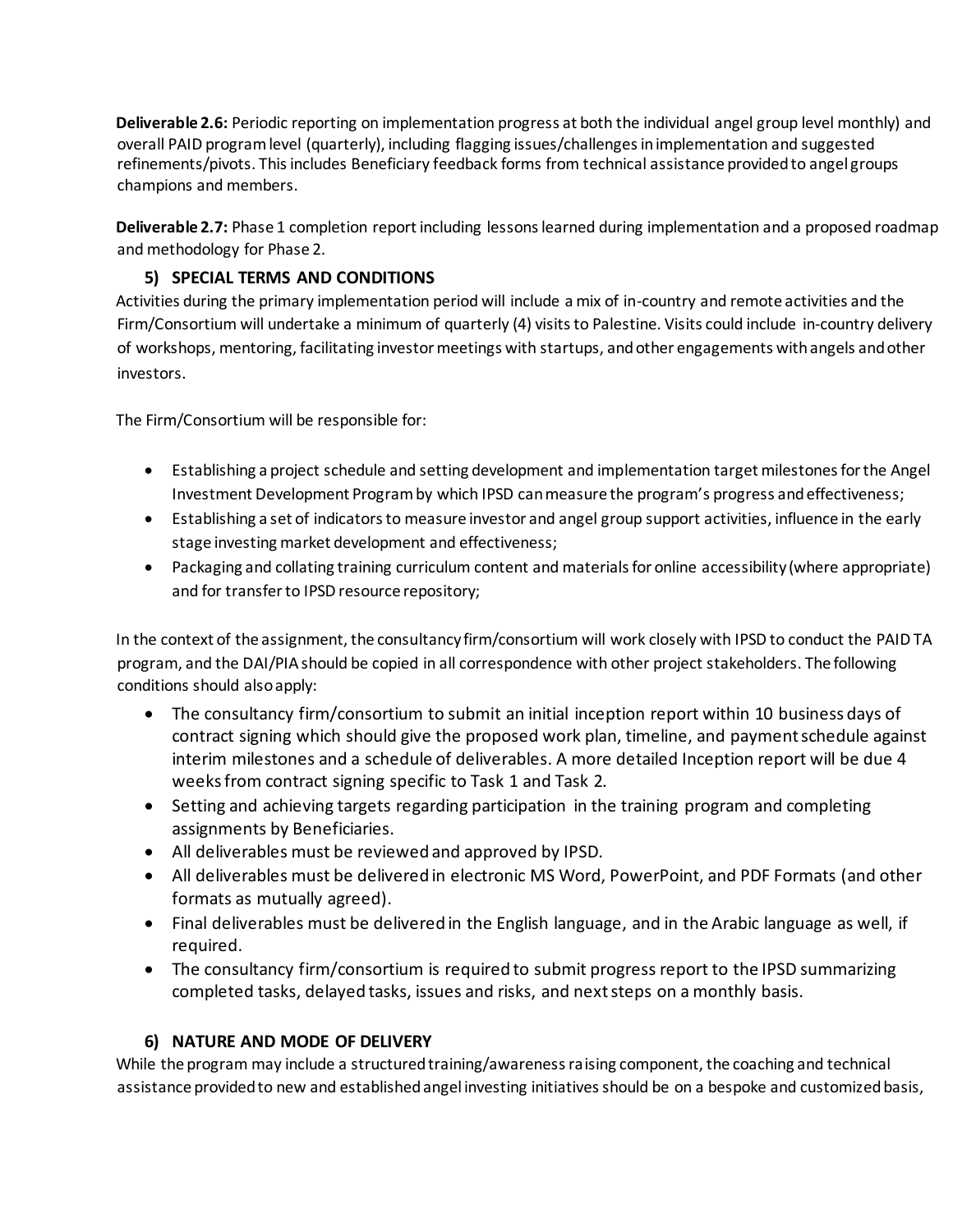**Deliverable 2.6:** Periodic reporting on implementation progress at both the individual angel group level monthly) and overall PAID program level (quarterly), including flagging issues/challenges in implementation and suggested refinements/pivots. This includes Beneficiary feedback forms from technical assistance provided to angel groups champions and members.

**Deliverable 2.7:** Phase 1 completion report including lessons learned during implementation and a proposed roadmap and methodology for Phase 2.

# **5) SPECIAL TERMS AND CONDITIONS**

Activities during the primary implementation period will include a mix of in-country and remote activities and the Firm/Consortium will undertake a minimum of quarterly (4) visits to Palestine. Visits could include in-country delivery of workshops, mentoring, facilitating investor meetings with startups, and other engagements with angels and other investors.

The Firm/Consortium will be responsible for:

- Establishing a project schedule and setting development and implementation target milestones for the Angel Investment Development Program by which IPSD can measure the program's progress and effectiveness;
- Establishing a set of indicators to measure investor and angel group support activities, influence in the early stage investing market development and effectiveness;
- Packaging and collating training curriculum content and materials for online accessibility (where appropriate) and for transfer to IPSD resource repository;

In the context of the assignment, the consultancy firm/consortium will work closely with IPSD to conduct the PAID TA program, and the DAI/PIA should be copied in all correspondence with other project stakeholders. The following conditions should also apply:

- The consultancy firm/consortium to submit an initial inception report within 10 business days of contract signing which should give the proposed work plan, timeline, and payment schedule against interim milestones and a schedule of deliverables. A more detailed Inception report will be due 4 weeks from contract signing specific to Task 1 and Task 2.
- Setting and achieving targets regarding participation in the training program and completing assignments by Beneficiaries.
- All deliverables must be reviewed and approved by IPSD.
- All deliverables must be delivered in electronic MS Word, PowerPoint, and PDF Formats (and other formats as mutually agreed).
- Final deliverables must be delivered in the English language, and in the Arabic language as well, if required.
- The consultancy firm/consortium is required to submit progress report to the IPSD summarizing completed tasks, delayed tasks, issues and risks, and next steps on a monthly basis.

# **6) NATURE AND MODE OF DELIVERY**

While the program may include a structured training/awareness raising component, the coaching and technical assistance provided to new and established angel investing initiatives should be on a bespoke and customized basis,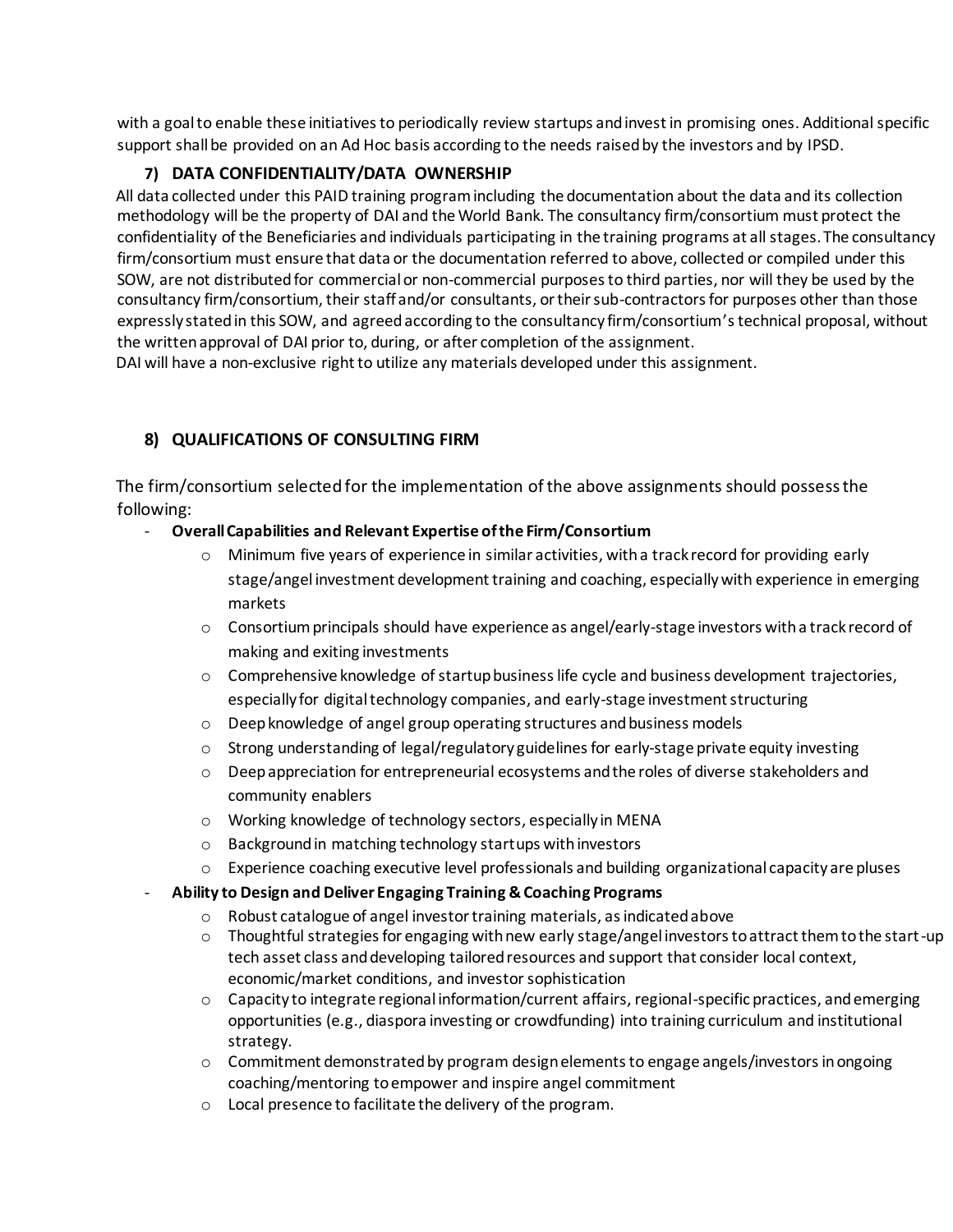with a goal to enable these initiatives to periodically review startups and invest in promising ones. Additional specific support shall be provided on an Ad Hoc basis according to the needs raised by the investors and by IPSD.

# **7) DATA CONFIDENTIALITY/DATA OWNERSHIP**

All data collected under this PAID training program including the documentation about the data and its collection methodology will be the property of DAI and the World Bank. The consultancy firm/consortium must protect the confidentiality of the Beneficiaries and individuals participating in the training programs at all stages. The consultancy firm/consortium must ensure that data or the documentation referred to above, collected or compiled under this SOW, are not distributed for commercial or non-commercial purposes to third parties, nor will they be used by the consultancy firm/consortium, their staff and/or consultants, or their sub-contractors for purposes other than those expressly stated in this SOW, and agreed according to the consultancy firm/consortium's technical proposal, without the written approval of DAI prior to, during, or after completion of the assignment.

DAI will have a non-exclusive right to utilize any materials developed under this assignment.

# **8) QUALIFICATIONS OF CONSULTING FIRM**

The firm/consortium selected for the implementation of the above assignments should possess the following:

- **Overall Capabilities and Relevant Expertise of the Firm/Consortium**
	- o Minimum five years of experience in similar activities, with a track record for providing early stage/angel investment development training and coaching, especially with experience in emerging markets
	- $\circ$  Consortium principals should have experience as angel/early-stage investors with a track record of making and exiting investments
	- o Comprehensive knowledge of startup business life cycle and business development trajectories, especially for digital technology companies, and early-stage investment structuring
	- o Deep knowledge of angel group operating structures and business models
	- o Strong understanding of legal/regulatory guidelines for early-stage private equity investing
	- $\circ$  Deep appreciation for entrepreneurial ecosystems and the roles of diverse stakeholders and community enablers
	- o Working knowledge of technology sectors, especially in MENA
	- o Background in matching technology startups with investors
	- $\circ$  Experience coaching executive level professionals and building organizational capacity are pluses
- **Ability to Design and Deliver Engaging Training & Coaching Programs**
	- o Robust catalogue of angel investor training materials, as indicated above
	- o Thoughtful strategies for engaging with new early stage/angel investors to attract them to the start-up tech asset class and developing tailored resources and support that consider local context, economic/market conditions, and investor sophistication
	- o Capacity to integrate regional information/current affairs, regional-specific practices, and emerging opportunities (e.g., diaspora investing or crowdfunding) into training curriculum and institutional strategy.
	- $\circ$  Commitment demonstrated by program design elements to engage angels/investors in ongoing coaching/mentoring to empower and inspire angel commitment
	- o Local presence to facilitate the delivery of the program.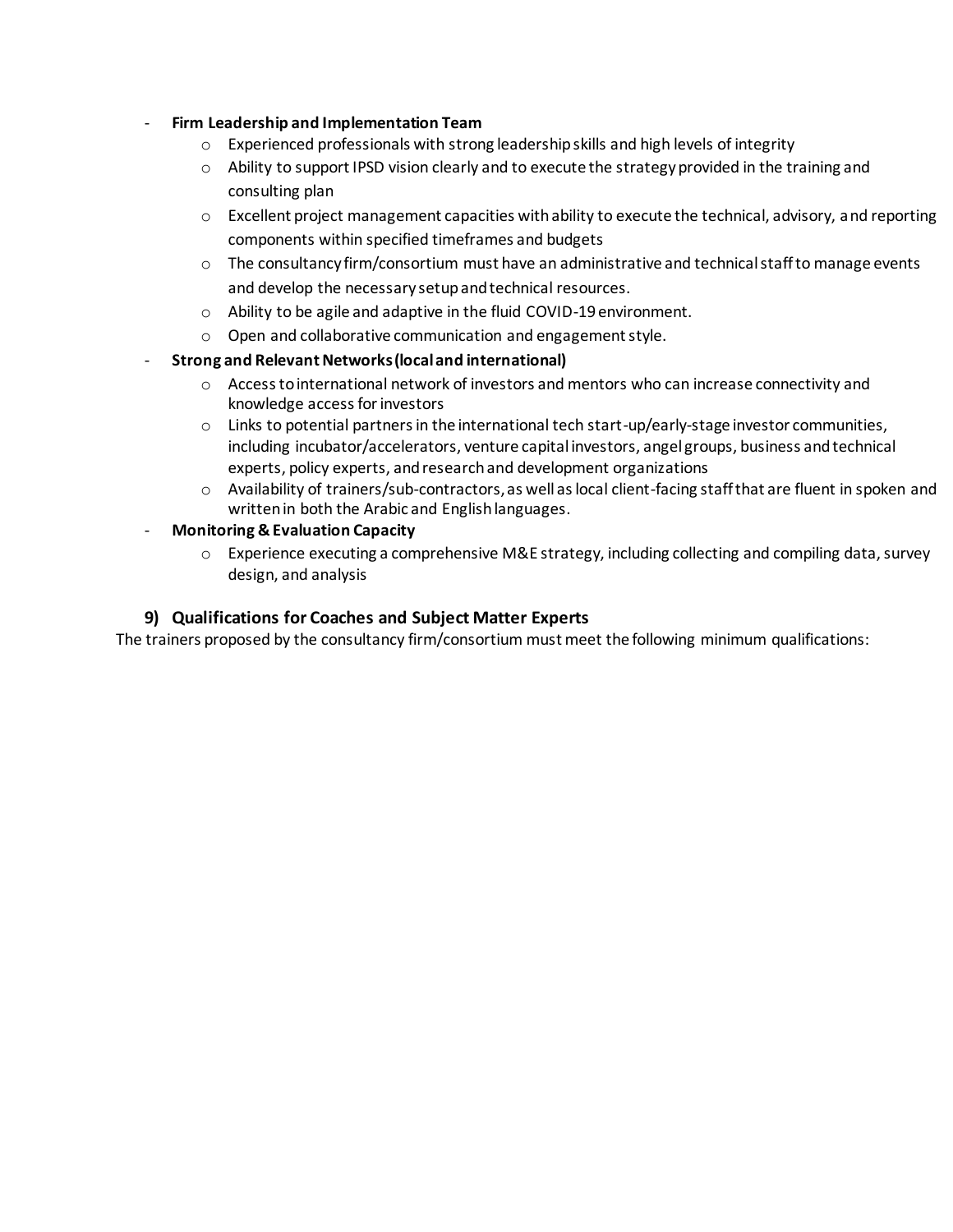#### - **Firm Leadership and Implementation Team**

- $\circ$  Experienced professionals with strong leadership skills and high levels of integrity
- $\circ$  Ability to support IPSD vision clearly and to execute the strategy provided in the training and consulting plan
- $\circ$  Excellent project management capacities with ability to execute the technical, advisory, and reporting components within specified timeframes and budgets
- $\circ$  The consultancy firm/consortium must have an administrative and technical staff to manage events and develop the necessary setup and technical resources.
- o Ability to be agile and adaptive in the fluid COVID-19 environment.
- o Open and collaborative communication and engagement style.
- **Strong and Relevant Networks (local and international)**
	- o Access to international network of investors and mentors who can increase connectivity and knowledge access for investors
	- $\circ$  Links to potential partners in the international tech start-up/early-stage investor communities, including incubator/accelerators, venture capital investors, angel groups, business and technical experts, policy experts, and research and development organizations
	- o Availability of trainers/sub-contractors, as well as local client-facing staff that are fluent in spoken and written in both the Arabic and English languages.
- **Monitoring & Evaluation Capacity**
	- $\circ$  Experience executing a comprehensive M&E strategy, including collecting and compiling data, survey design, and analysis

#### **9) Qualifications for Coaches and Subject Matter Experts**

The trainers proposed by the consultancy firm/consortium must meet the following minimum qualifications: